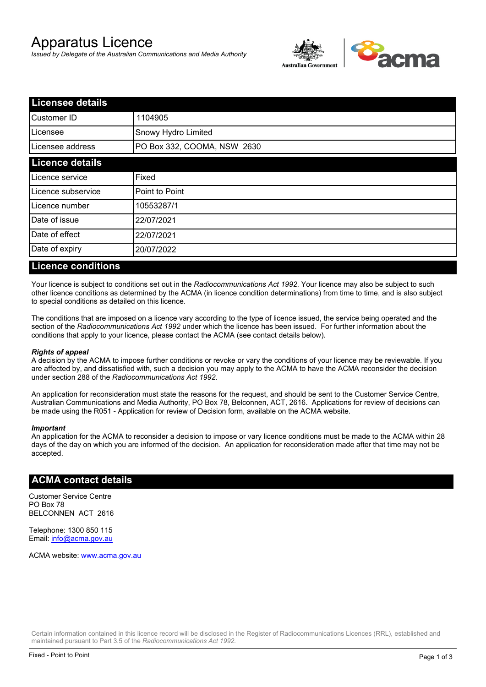# Apparatus Licence

*Issued by Delegate of the Australian Communications and Media Authority*



| <b>Licensee details</b> |                             |  |
|-------------------------|-----------------------------|--|
| Customer ID             | 1104905                     |  |
| Licensee                | Snowy Hydro Limited         |  |
| Licensee address        | PO Box 332, COOMA, NSW 2630 |  |
| <b>Licence details</b>  |                             |  |
| Licence service         | Fixed                       |  |
| Licence subservice      | Point to Point              |  |
| Licence number          | 10553287/1                  |  |
| Date of issue           | 22/07/2021                  |  |
| Date of effect          | 22/07/2021                  |  |
| Date of expiry          | 20/07/2022                  |  |
| . .<br>.                |                             |  |

#### **Licence conditions**

Your licence is subject to conditions set out in the *Radiocommunications Act 1992*. Your licence may also be subject to such other licence conditions as determined by the ACMA (in licence condition determinations) from time to time, and is also subject to special conditions as detailed on this licence.

The conditions that are imposed on a licence vary according to the type of licence issued, the service being operated and the section of the *Radiocommunications Act 1992* under which the licence has been issued. For further information about the conditions that apply to your licence, please contact the ACMA (see contact details below).

#### *Rights of appeal*

A decision by the ACMA to impose further conditions or revoke or vary the conditions of your licence may be reviewable. If you are affected by, and dissatisfied with, such a decision you may apply to the ACMA to have the ACMA reconsider the decision under section 288 of the *Radiocommunications Act 1992*.

An application for reconsideration must state the reasons for the request, and should be sent to the Customer Service Centre, Australian Communications and Media Authority, PO Box 78, Belconnen, ACT, 2616. Applications for review of decisions can be made using the R051 - Application for review of Decision form, available on the ACMA website.

#### *Important*

An application for the ACMA to reconsider a decision to impose or vary licence conditions must be made to the ACMA within 28 days of the day on which you are informed of the decision. An application for reconsideration made after that time may not be accepted.

#### **ACMA contact details**

Customer Service Centre PO Box 78 BELCONNEN ACT 2616

Telephone: 1300 850 115 Email: info@acma.gov.au

ACMA website: www.acma.gov.au

Certain information contained in this licence record will be disclosed in the Register of Radiocommunications Licences (RRL), established and maintained pursuant to Part 3.5 of the *Radiocommunications Act 1992.*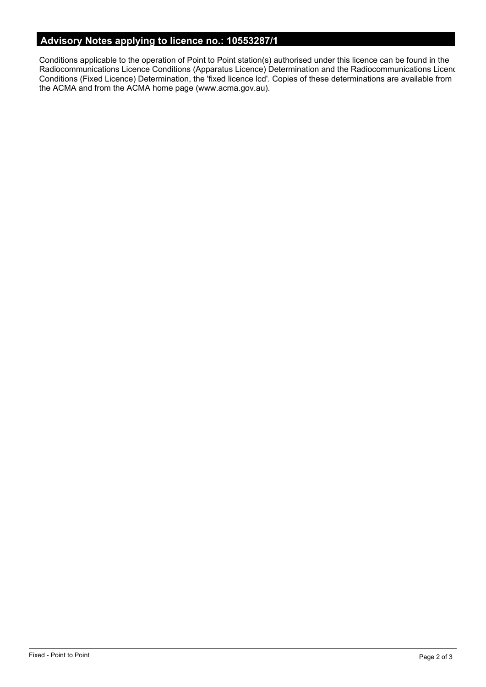# **Advisory Notes applying to licence no.: 10553287/1**

Conditions applicable to the operation of Point to Point station(s) authorised under this licence can be found in the Radiocommunications Licence Conditions (Apparatus Licence) Determination and the Radiocommunications Licence Conditions (Fixed Licence) Determination, the 'fixed licence lcd'. Copies of these determinations are available from the ACMA and from the ACMA home page (www.acma.gov.au).